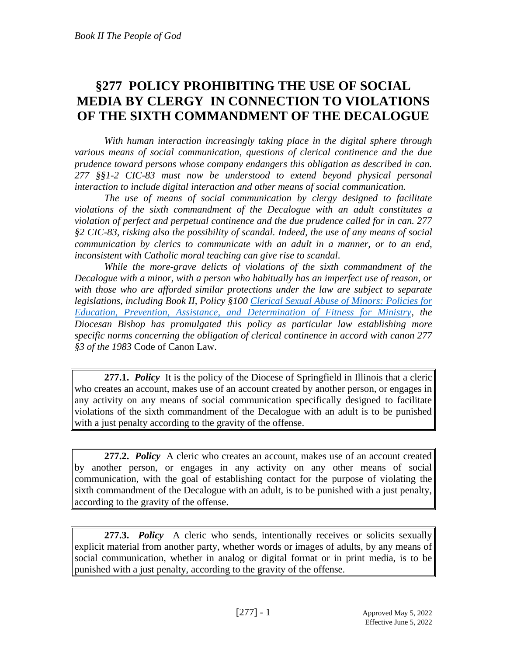## **§277 POLICY PROHIBITING THE USE OF SOCIAL MEDIA BY CLERGY IN CONNECTION TO VIOLATIONS OF THE SIXTH COMMANDMENT OF THE DECALOGUE**

*With human interaction increasingly taking place in the digital sphere through various means of social communication, questions of clerical continence and the due prudence toward persons whose company endangers this obligation as described in can. 277 §§1-2 CIC-83 must now be understood to extend beyond physical personal interaction to include digital interaction and other means of social communication.* 

*The use of means of social communication by clergy designed to facilitate violations of the sixth commandment of the Decalogue with an adult constitutes a violation of perfect and perpetual continence and the due prudence called for in can. 277 §2 CIC-83, risking also the possibility of scandal. Indeed, the use of any means of social communication by clerics to communicate with an adult in a manner, or to an end, inconsistent with Catholic moral teaching can give rise to scandal.*

*While the more-grave delicts of violations of the sixth commandment of the Decalogue with a minor, with a person who habitually has an imperfect use of reason, or with those who are afforded similar protections under the law are subject to separate legislations, including Book II, Policy §100 [Clerical Sexual Abuse of Minors: Policies for](https://www.dio.org/policy-book/4-100-clerical-sexual-abuse-of-minors-policy-for-education-prevention-assistance-and-determination-of-fitness-for-ministry/file.html)  [Education, Prevention, Assistance, and Determination of Fitness for Ministry,](https://www.dio.org/policy-book/4-100-clerical-sexual-abuse-of-minors-policy-for-education-prevention-assistance-and-determination-of-fitness-for-ministry/file.html) the Diocesan Bishop has promulgated this policy as particular law establishing more specific norms concerning the obligation of clerical continence in accord with canon 277 §3 of the 1983* Code of Canon Law.

**277.1.** *Policy* It is the policy of the Diocese of Springfield in Illinois that a cleric who creates an account, makes use of an account created by another person, or engages in any activity on any means of social communication specifically designed to facilitate violations of the sixth commandment of the Decalogue with an adult is to be punished with a just penalty according to the gravity of the offense.

**277.2.** *Policy* A cleric who creates an account, makes use of an account created by another person, or engages in any activity on any other means of social communication, with the goal of establishing contact for the purpose of violating the sixth commandment of the Decalogue with an adult, is to be punished with a just penalty, according to the gravity of the offense.

**277.3.** *Policy* A cleric who sends, intentionally receives or solicits sexually explicit material from another party, whether words or images of adults, by any means of social communication, whether in analog or digital format or in print media, is to be punished with a just penalty, according to the gravity of the offense.